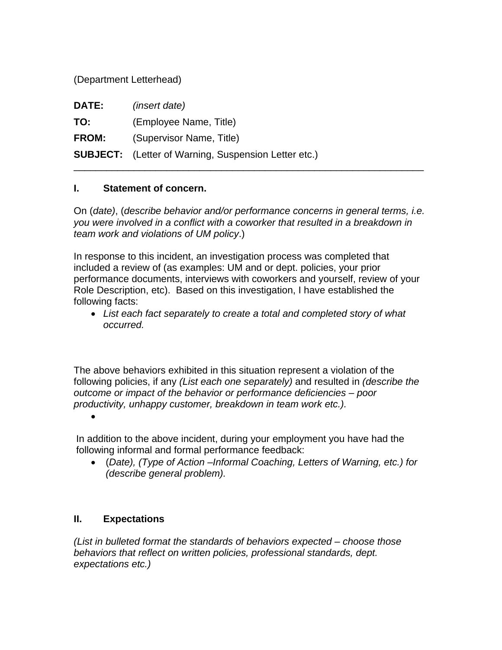(Department Letterhead)

| <b>DATE:</b> | <i>(insert date)</i>                                        |
|--------------|-------------------------------------------------------------|
| TO:          | (Employee Name, Title)                                      |
| <b>FROM:</b> | (Supervisor Name, Title)                                    |
|              | <b>SUBJECT:</b> (Letter of Warning, Suspension Letter etc.) |

## **I. Statement of concern.**

On (*date)*, (*describe behavior and/or performance concerns in general terms, i.e. you were involved in a conflict with a coworker that resulted in a breakdown in team work and violations of UM policy*.)

\_\_\_\_\_\_\_\_\_\_\_\_\_\_\_\_\_\_\_\_\_\_\_\_\_\_\_\_\_\_\_\_\_\_\_\_\_\_\_\_\_\_\_\_\_\_\_\_\_\_\_\_\_\_\_\_\_\_\_\_\_\_\_\_

In response to this incident, an investigation process was completed that included a review of (as examples: UM and or dept. policies, your prior performance documents, interviews with coworkers and yourself, review of your Role Description, etc). Based on this investigation, I have established the following facts:

 *List each fact separately to create a total and completed story of what occurred.* 

The above behaviors exhibited in this situation represent a violation of the following policies, if any *(List each one separately)* and resulted in *(describe the outcome or impact of the behavior or performance deficiencies – poor productivity, unhappy customer, breakdown in team work etc.).* 

 $\bullet$ 

In addition to the above incident, during your employment you have had the following informal and formal performance feedback:

 (*Date), (Type of Action –Informal Coaching, Letters of Warning, etc.) for (describe general problem).* 

## **II. Expectations**

*(List in bulleted format the standards of behaviors expected – choose those behaviors that reflect on written policies, professional standards, dept. expectations etc.)*